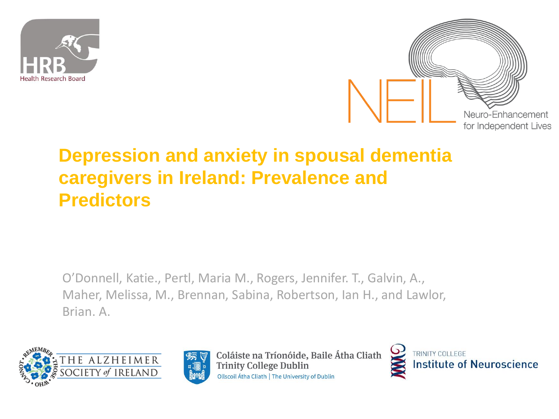



### **Depression and anxiety in spousal dementia caregivers in Ireland: Prevalence and Predictors**

O'Donnell, Katie., Pertl, Maria M., Rogers, Jennifer. T., Galvin, A., Maher, Melissa, M., Brennan, Sabina, Robertson, Ian H., and Lawlor, Brian. A.





Coláiste na Tríonóide, Baile Átha Cliath **Trinity College Dublin** Ollscoil Átha Cliath | The University of Dublin

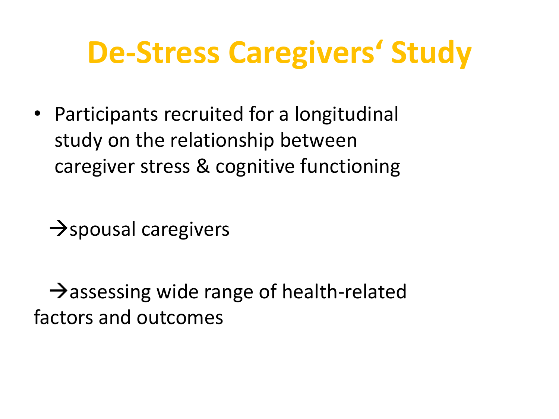### **De-Stress Caregivers' Study**

• Participants recruited for a longitudinal study on the relationship between caregiver stress & cognitive functioning

 $\rightarrow$ spousal caregivers

 $\rightarrow$  assessing wide range of health-related factors and outcomes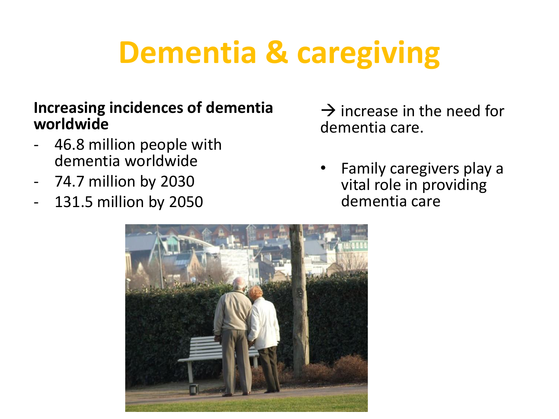## **Dementia & caregiving**

#### **Increasing incidences of dementia worldwide**

- 46.8 million people with dementia worldwide
- 74.7 million by 2030
- 131.5 million by 2050

 $\rightarrow$  increase in the need for dementia care.

• Family caregivers play a vital role in providing dementia care

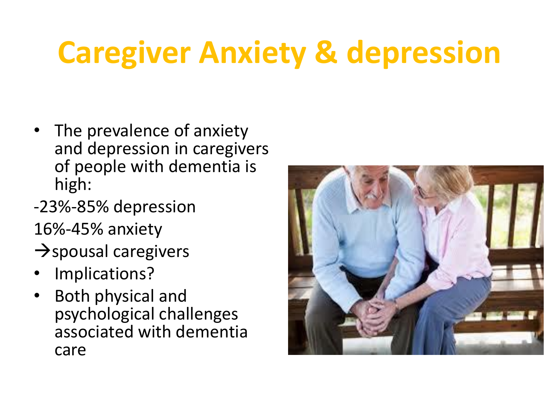## **Caregiver Anxiety & depression**

- The prevalence of anxiety and depression in caregivers of people with dementia is high:
- -23%-85% depression 16%-45% anxiety
- $\rightarrow$ spousal caregivers
- Implications?
- Both physical and psychological challenges associated with dementia care

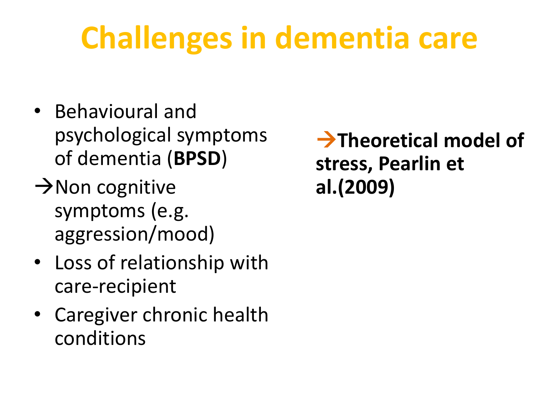# **Challenges in dementia care**

- Behavioural and psychological symptoms of dementia (**BPSD**)
- $\rightarrow$  Non cognitive symptoms (e.g. aggression/mood)
- Loss of relationship with care-recipient
- Caregiver chronic health conditions

**Theoretical model of stress, Pearlin et al.(2009)**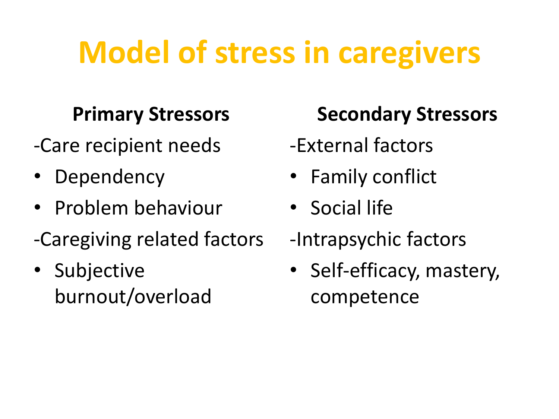## **Model of stress in caregivers**

### **Primary Stressors**

- -Care recipient needs
- Dependency
- Problem behaviour
- -Caregiving related factors
- Subjective burnout/overload

### **Secondary Stressors**

- -External factors
- Family conflict
- Social life
- -Intrapsychic factors
- Self-efficacy, mastery, competence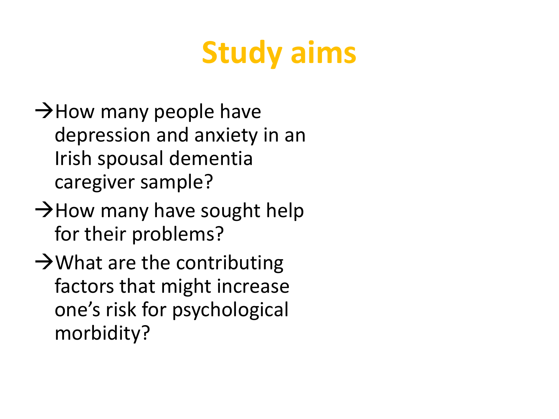## **Study aims**

- $\rightarrow$  How many people have depression and anxiety in an Irish spousal dementia caregiver sample?
- $\rightarrow$  How many have sought help for their problems?
- $\rightarrow$  What are the contributing factors that might increase one's risk for psychological morbidity?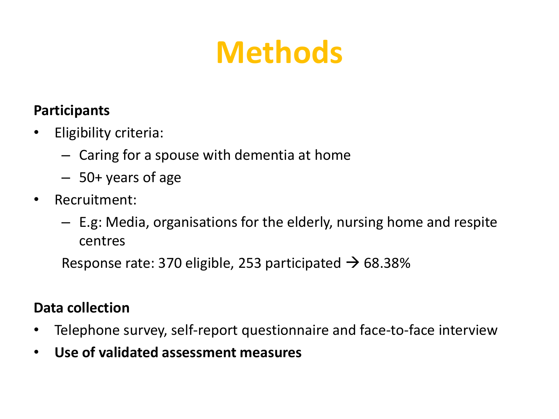## **Methods**

### **Participants**

- Eligibility criteria:
	- Caring for a spouse with dementia at home
	- 50+ years of age
- Recruitment:
	- E.g: Media, organisations for the elderly, nursing home and respite centres

Response rate: 370 eligible, 253 participated  $\rightarrow$  68.38%

#### **Data collection**

- Telephone survey, self-report questionnaire and face-to-face interview
- **Use of validated assessment measures**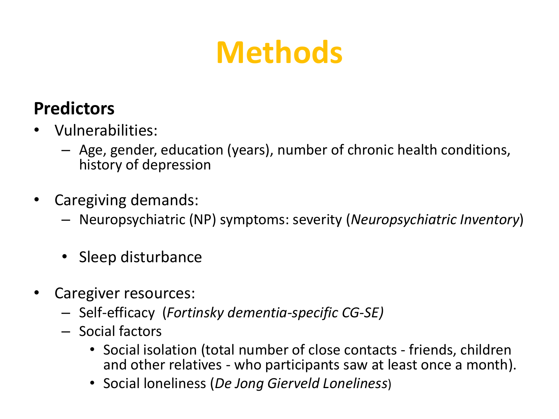## **Methods**

### **Predictors**

- Vulnerabilities:
	- Age, gender, education (years), number of chronic health conditions, history of depression
- Caregiving demands:
	- Neuropsychiatric (NP) symptoms: severity (*Neuropsychiatric Inventory*)
	- Sleep disturbance
- Caregiver resources:
	- Self-efficacy (*Fortinsky dementia-specific CG-SE)*
	- Social factors
		- Social isolation (total number of close contacts friends, children and other relatives - who participants saw at least once a month).
		- Social loneliness (*De Jong Gierveld Loneliness*)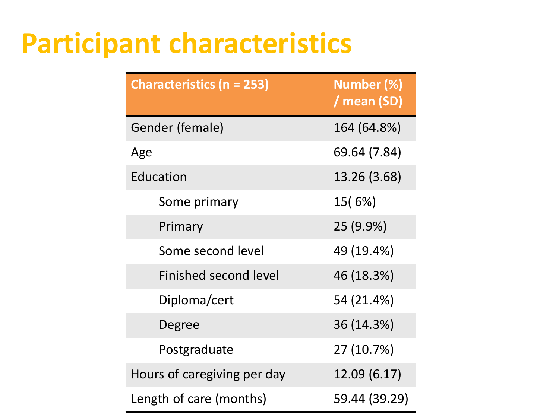### **Participant characteristics**

| <b>Characteristics (n = 253)</b> | Number (%)<br>/ mean (SD) |
|----------------------------------|---------------------------|
| Gender (female)                  | 164 (64.8%)               |
| Age                              | 69.64 (7.84)              |
| Education                        | 13.26 (3.68)              |
| Some primary                     | 15(6%)                    |
| Primary                          | 25 (9.9%)                 |
| Some second level                | 49 (19.4%)                |
| <b>Finished second level</b>     | 46 (18.3%)                |
| Diploma/cert                     | 54 (21.4%)                |
| Degree                           | 36 (14.3%)                |
| Postgraduate                     | 27 (10.7%)                |
| Hours of caregiving per day      | 12.09 (6.17)              |
| Length of care (months)          | 59.44 (39.29)             |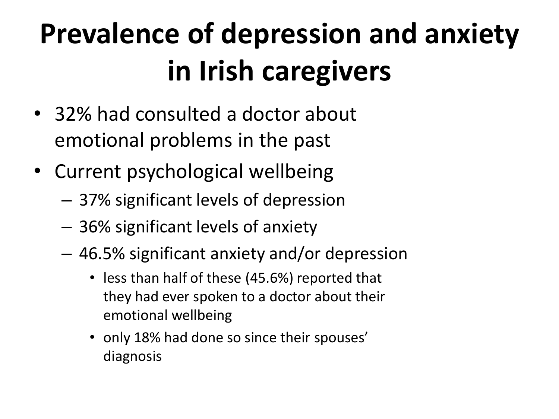# **Prevalence of depression and anxiety in Irish caregivers**

- 32% had consulted a doctor about emotional problems in the past
- Current psychological wellbeing
	- 37% significant levels of depression
	- 36% significant levels of anxiety
	- 46.5% significant anxiety and/or depression
		- less than half of these (45.6%) reported that they had ever spoken to a doctor about their emotional wellbeing
		- only 18% had done so since their spouses' diagnosis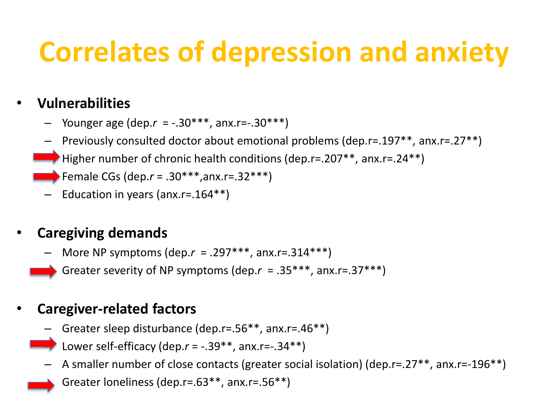### **Correlates of depression and anxiety**

### • **Vulnerabilities**

- Younger age (dep.*r* = -.30\*\*\*, anx.r=-.30\*\*\*)
- Previously consulted doctor about emotional problems (dep.r=.197\*\*, anx.r=.27\*\*)
- Higher number of chronic health conditions (dep.r=.207\*\*, anx.r=.24\*\*)
- Female CGs (dep.*r* = .30\*\*\*,anx.r=.32\*\*\*)
- Education in years (anx.r=.164\*\*)

#### • **Caregiving demands**

– More NP symptoms (dep.*r* = .297\*\*\*, anx.r=.314\*\*\*)

– Greater severity of NP symptoms (dep.*r* = .35\*\*\*, anx.r=.37\*\*\*)

#### • **Caregiver-related factors**

- Greater sleep disturbance (dep.r=.56\*\*, anx.r=.46\*\*)
	- Lower self-efficacy (dep. $r = -.39**$ , anx.r= $-.34**$ )
- A smaller number of close contacts (greater social isolation) (dep.r=.27\*\*, anx.r=-196\*\*)
	- Greater loneliness (dep.r=.63\*\*, anx.r=.56\*\*)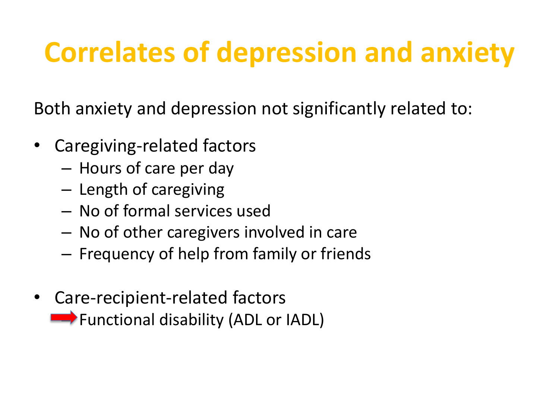### **Correlates of depression and anxiety**

Both anxiety and depression not significantly related to:

- Caregiving-related factors
	- Hours of care per day
	- Length of caregiving
	- No of formal services used
	- No of other caregivers involved in care
	- Frequency of help from family or friends
- Care-recipient-related factors **EXAMPLE FUNCTIONAL DISABILITY (ADL or IADL)**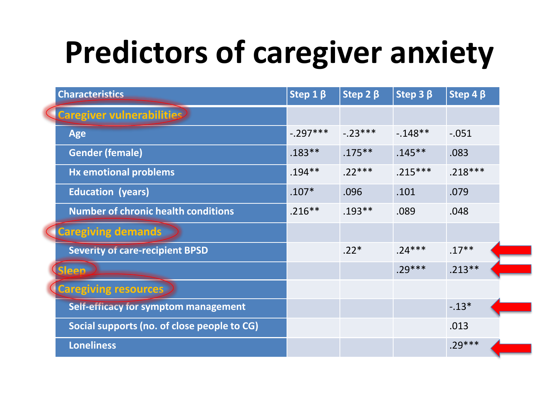# **Predictors of caregiver anxiety**

| <b>Characteristics</b>                      | Step 1 $\beta$ | Step 2 $\beta$ | Step $3\beta$ | Step 4 $\beta$ |
|---------------------------------------------|----------------|----------------|---------------|----------------|
| <b>Caregiver vulnerabilities</b>            |                |                |               |                |
| Age                                         | $-.297***$     | $-.23***$      | $-148**$      | $-.051$        |
| <b>Gender (female)</b>                      | $.183***$      | $.175***$      | $.145***$     | .083           |
| <b>Hx emotional problems</b>                | $.194***$      | $.22***$       | $.215***$     | $.218***$      |
| <b>Education (years)</b>                    | $.107*$        | .096           | .101          | .079           |
| <b>Number of chronic health conditions</b>  | $.216***$      | $.193**$       | .089          | .048           |
| <b>Caregiving demands</b>                   |                |                |               |                |
| <b>Severity of care-recipient BPSD</b>      |                | $.22*$         | $.24***$      | $.17***$       |
| <b>Sleep</b>                                |                |                | $.29***$      | $.213***$      |
| <b>Caregiving resources</b>                 |                |                |               |                |
| Self-efficacy for symptom management        |                |                |               | $-.13*$        |
| Social supports (no. of close people to CG) |                |                |               | .013           |
| <b>Loneliness</b>                           |                |                |               | $.29***$       |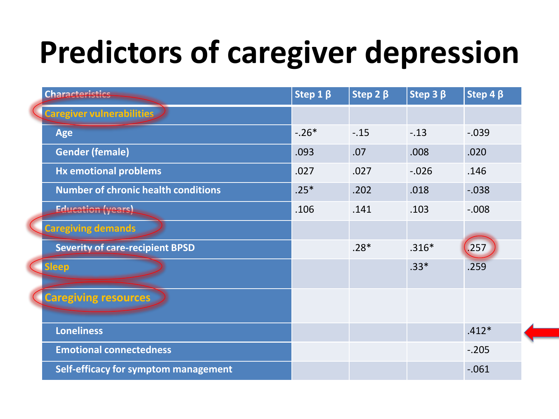# **Predictors of caregiver depression**

| <b>Characteristics</b>                     | Step $1 \beta$ | Step 2 $\beta$ | Step $3\beta$ | Step 4 $\beta$ |
|--------------------------------------------|----------------|----------------|---------------|----------------|
| <b>Caregiver vulnerabilities</b>           |                |                |               |                |
| <b>Age</b>                                 | $-.26*$        | $-.15$         | $-.13$        | $-0.039$       |
| <b>Gender (female)</b>                     | .093           | .07            | .008          | .020           |
| <b>Hx emotional problems</b>               | .027           | .027           | $-0.026$      | .146           |
| <b>Number of chronic health conditions</b> | $.25*$         | .202           | .018          | $-0.038$       |
| <b>Education (years)</b>                   | .106           | .141           | .103          | $-0.008$       |
| <b>Caregiving demands</b>                  |                |                |               |                |
| <b>Severity of care-recipient BPSD</b>     |                | $.28*$         | $.316*$       | .257           |
| leep                                       |                |                | $.33*$        | .259           |
| <b>Caregiving resources</b>                |                |                |               |                |
| <b>Loneliness</b>                          |                |                |               | $.412*$        |
| <b>Emotional connectedness</b>             |                |                |               | $-.205$        |
| Self-efficacy for symptom management       |                |                |               | $-.061$        |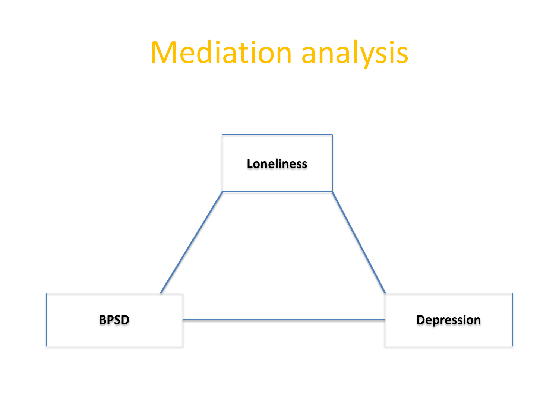### Mediation analysis

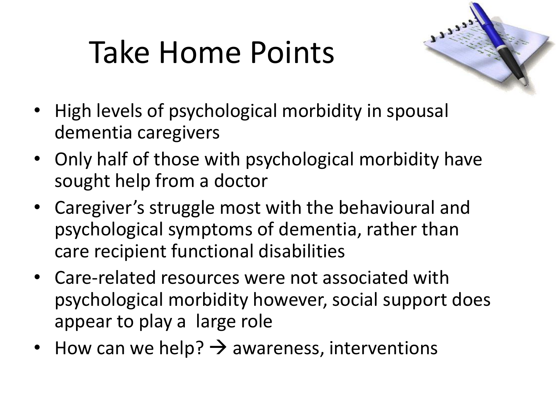# Take Home Points



- High levels of psychological morbidity in spousal dementia caregivers
- Only half of those with psychological morbidity have sought help from a doctor
- Caregiver's struggle most with the behavioural and psychological symptoms of dementia, rather than care recipient functional disabilities
- Care-related resources were not associated with psychological morbidity however, social support does appear to play a large role
- How can we help?  $\rightarrow$  awareness, interventions